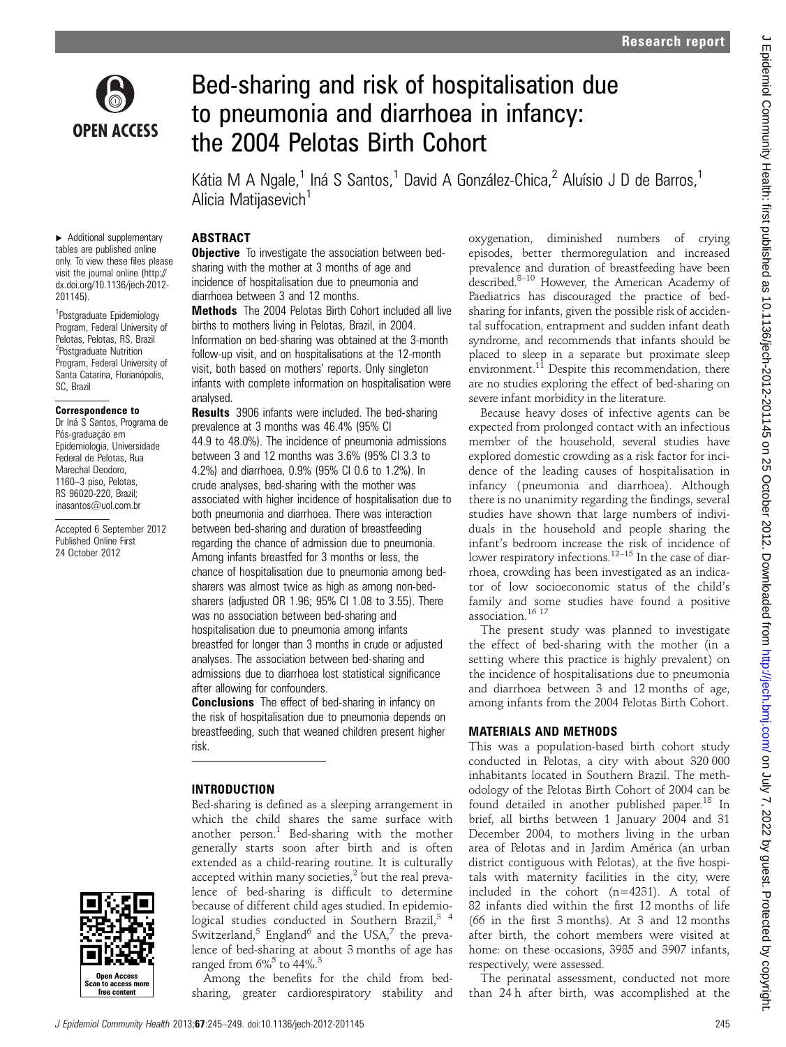

▸ Additional supplementary tables are published online only. To view these files please visit the journal online [\(http://](http://dx.doi.org/10.1136/jech-2012-201145) [dx.doi.org/10.1136/jech-2012-](http://dx.doi.org/10.1136/jech-2012-201145)

1 Postgraduate Epidemiology Program, Federal University of Pelotas, Pelotas, RS, Brazil 2 Postgraduate Nutrition Program, Federal University of Santa Catarina, Florianópolis,

[201145\)](http://dx.doi.org/10.1136/jech-2012-201145).

SC, Brazil

Correspondence to Dr Iná S Santos, Programa de Pós-graduação em Epidemiologia, Universidade Federal de Pelotas, Rua Marechal Deodoro, 1160–3 piso, Pelotas, RS 96020-220, Brazil; inasantos@uol.com.br Accepted 6 September 2012 Published Online First 24 October 2012

# Bed-sharing and risk of hospitalisation due to pneumonia and diarrhoea in infancy: the 2004 Pelotas Birth Cohort

Kátia M A Ngale,<sup>1</sup> Iná S Santos,<sup>1</sup> David A González-Chica,<sup>2</sup> Aluísio J D de Barros,<sup>1</sup> Alicia Matijasevich<sup>1</sup>

## ABSTRACT

**Objective** To investigate the association between bedsharing with the mother at 3 months of age and incidence of hospitalisation due to pneumonia and diarrhoea between 3 and 12 months.

Methods The 2004 Pelotas Birth Cohort included all live births to mothers living in Pelotas, Brazil, in 2004. Information on bed-sharing was obtained at the 3-month follow-up visit, and on hospitalisations at the 12-month visit, both based on mothers' reports. Only singleton infants with complete information on hospitalisation were analysed.

**Results** 3906 infants were included. The bed-sharing prevalence at 3 months was 46.4% (95% CI 44.9 to 48.0%). The incidence of pneumonia admissions between 3 and 12 months was 3.6% (95% CI 3.3 to 4.2%) and diarrhoea, 0.9% (95% CI 0.6 to 1.2%). In crude analyses, bed-sharing with the mother was associated with higher incidence of hospitalisation due to both pneumonia and diarrhoea. There was interaction between bed-sharing and duration of breastfeeding regarding the chance of admission due to pneumonia. Among infants breastfed for 3 months or less, the chance of hospitalisation due to pneumonia among bedsharers was almost twice as high as among non-bedsharers (adjusted OR 1.96; 95% CI 1.08 to 3.55). There was no association between bed-sharing and hospitalisation due to pneumonia among infants breastfed for longer than 3 months in crude or adjusted analyses. The association between bed-sharing and admissions due to diarrhoea lost statistical significance after allowing for confounders.

**Conclusions** The effect of bed-sharing in infancy on the risk of hospitalisation due to pneumonia depends on breastfeeding, such that weaned children present higher risk.

### INTRODUCTION

Bed-sharing is defined as a sleeping arrangement in which the child shares the same surface with another person.<sup>1</sup> Bed-sharing with the mother generally starts soon after birth and is often extended as a child-rearing routine. It is culturally accepted within many societies, $^2$  but the real prevalence of bed-sharing is difficult to determine because of different child ages studied. In epidemiological studies conducted in Southern Brazil, $3<sup>3</sup>$ Switzerland, $5$  England<sup>6</sup> and the USA, $7$  the prevalence of bed-sharing at about 3 months of age has ranged from  $6\%$ <sup>5</sup> to 44%.<sup>3</sup>

Among the benefits for the child from bedsharing, greater cardiorespiratory stability and oxygenation, diminished numbers of crying episodes, better thermoregulation and increased prevalence and duration of breastfeeding have been described.8–<sup>10</sup> However, the American Academy of Paediatrics has discouraged the practice of bedsharing for infants, given the possible risk of accidental suffocation, entrapment and sudden infant death syndrome, and recommends that infants should be placed to sleep in a separate but proximate sleep environment. $11$  Despite this recommendation, there are no studies exploring the effect of bed-sharing on severe infant morbidity in the literature.

Because heavy doses of infective agents can be expected from prolonged contact with an infectious member of the household, several studies have explored domestic crowding as a risk factor for incidence of the leading causes of hospitalisation in infancy (pneumonia and diarrhoea). Although there is no unanimity regarding the findings, several studies have shown that large numbers of individuals in the household and people sharing the infant's bedroom increase the risk of incidence of lower respiratory infections.<sup>12–15</sup> In the case of diarrhoea, crowding has been investigated as an indicator of low socioeconomic status of the child's family and some studies have found a positive association.16 17

The present study was planned to investigate the effect of bed-sharing with the mother (in a setting where this practice is highly prevalent) on the incidence of hospitalisations due to pneumonia and diarrhoea between 3 and 12 months of age, among infants from the 2004 Pelotas Birth Cohort.

## MATERIALS AND METHODS

This was a population-based birth cohort study conducted in Pelotas, a city with about 320 000 inhabitants located in Southern Brazil. The methodology of the Pelotas Birth Cohort of 2004 can be found detailed in another published paper.<sup>18</sup> In brief, all births between 1 January 2004 and 31 December 2004, to mothers living in the urban area of Pelotas and in Jardim América (an urban district contiguous with Pelotas), at the five hospitals with maternity facilities in the city, were included in the cohort (n=4231). A total of 82 infants died within the first 12 months of life (66 in the first 3 months). At 3 and 12 months after birth, the cohort members were visited at home: on these occasions, 3985 and 3907 infants, respectively, were assessed.

The perinatal assessment, conducted not more than 24 h after birth, was accomplished at the

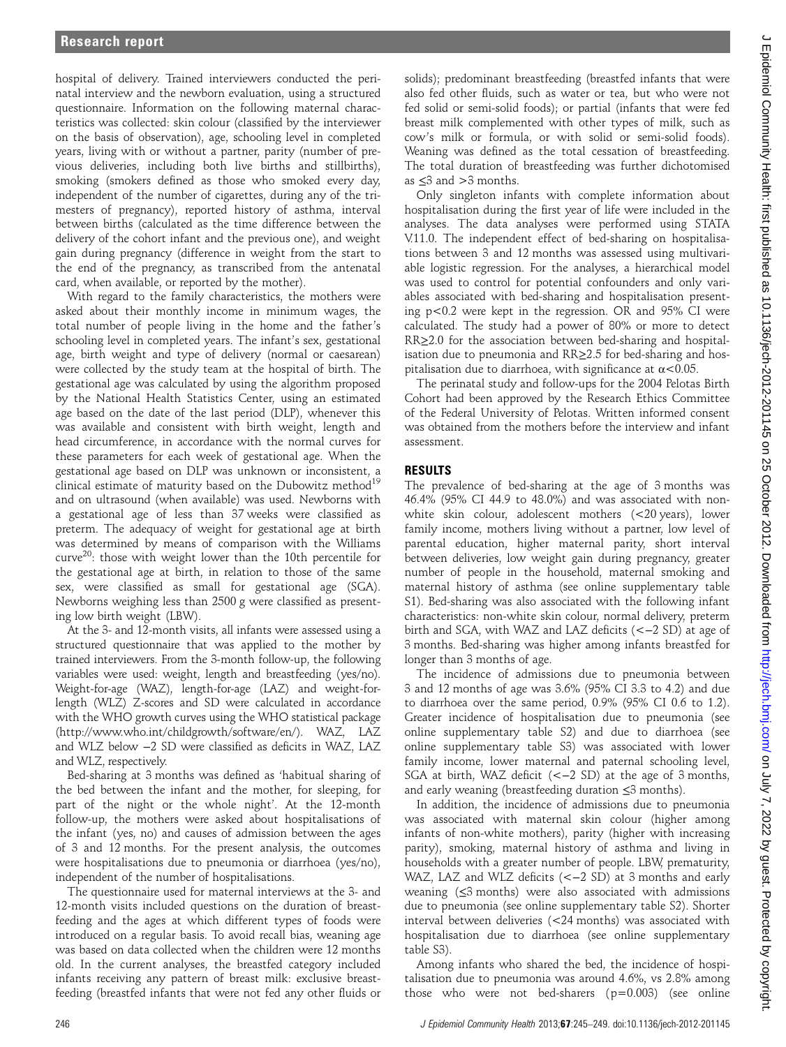hospital of delivery. Trained interviewers conducted the perinatal interview and the newborn evaluation, using a structured questionnaire. Information on the following maternal characteristics was collected: skin colour (classified by the interviewer on the basis of observation), age, schooling level in completed years, living with or without a partner, parity (number of previous deliveries, including both live births and stillbirths), smoking (smokers defined as those who smoked every day, independent of the number of cigarettes, during any of the trimesters of pregnancy), reported history of asthma, interval between births (calculated as the time difference between the delivery of the cohort infant and the previous one), and weight gain during pregnancy (difference in weight from the start to the end of the pregnancy, as transcribed from the antenatal card, when available, or reported by the mother).

With regard to the family characteristics, the mothers were asked about their monthly income in minimum wages, the total number of people living in the home and the father's schooling level in completed years. The infant's sex, gestational age, birth weight and type of delivery (normal or caesarean) were collected by the study team at the hospital of birth. The gestational age was calculated by using the algorithm proposed by the National Health Statistics Center, using an estimated age based on the date of the last period (DLP), whenever this was available and consistent with birth weight, length and head circumference, in accordance with the normal curves for these parameters for each week of gestational age. When the gestational age based on DLP was unknown or inconsistent, a clinical estimate of maturity based on the Dubowitz method $19$ and on ultrasound (when available) was used. Newborns with a gestational age of less than 37 weeks were classified as preterm. The adequacy of weight for gestational age at birth was determined by means of comparison with the Williams curve<sup>20</sup>: those with weight lower than the 10th percentile for the gestational age at birth, in relation to those of the same sex, were classified as small for gestational age (SGA). Newborns weighing less than 2500 g were classified as presenting low birth weight (LBW).

At the 3- and 12-month visits, all infants were assessed using a structured questionnaire that was applied to the mother by trained interviewers. From the 3-month follow-up, the following variables were used: weight, length and breastfeeding (yes/no). Weight-for-age (WAZ), length-for-age (LAZ) and weight-forlength (WLZ) Z-scores and SD were calculated in accordance with the WHO growth curves using the WHO statistical package [\(http://www.who.int/childgrowth/software/en/\)](http://www.who.int/childgrowth/software/en/). WAZ, LAZ and WLZ below −2 SD were classified as deficits in WAZ, LAZ and WLZ, respectively.

Bed-sharing at 3 months was defined as 'habitual sharing of the bed between the infant and the mother, for sleeping, for part of the night or the whole night'. At the 12-month follow-up, the mothers were asked about hospitalisations of the infant (yes, no) and causes of admission between the ages of 3 and 12 months. For the present analysis, the outcomes were hospitalisations due to pneumonia or diarrhoea (yes/no), independent of the number of hospitalisations.

The questionnaire used for maternal interviews at the 3- and 12-month visits included questions on the duration of breastfeeding and the ages at which different types of foods were introduced on a regular basis. To avoid recall bias, weaning age was based on data collected when the children were 12 months old. In the current analyses, the breastfed category included infants receiving any pattern of breast milk: exclusive breastfeeding (breastfed infants that were not fed any other fluids or

solids); predominant breastfeeding (breastfed infants that were also fed other fluids, such as water or tea, but who were not fed solid or semi-solid foods); or partial (infants that were fed breast milk complemented with other types of milk, such as cow's milk or formula, or with solid or semi-solid foods). Weaning was defined as the total cessation of breastfeeding. The total duration of breastfeeding was further dichotomised as ≤3 and >3 months.

Only singleton infants with complete information about hospitalisation during the first year of life were included in the analyses. The data analyses were performed using STATA V.11.0. The independent effect of bed-sharing on hospitalisations between 3 and 12 months was assessed using multivariable logistic regression. For the analyses, a hierarchical model was used to control for potential confounders and only variables associated with bed-sharing and hospitalisation presenting p<0.2 were kept in the regression. OR and 95% CI were calculated. The study had a power of 80% or more to detect RR≥2.0 for the association between bed-sharing and hospitalisation due to pneumonia and RR≥2.5 for bed-sharing and hospitalisation due to diarrhoea, with significance at  $\alpha$ <0.05.

The perinatal study and follow-ups for the 2004 Pelotas Birth Cohort had been approved by the Research Ethics Committee of the Federal University of Pelotas. Written informed consent was obtained from the mothers before the interview and infant assessment.

## RESULTS

The prevalence of bed-sharing at the age of 3 months was 46.4% (95% CI 44.9 to 48.0%) and was associated with nonwhite skin colour, adolescent mothers (<20 years), lower family income, mothers living without a partner, low level of parental education, higher maternal parity, short interval between deliveries, low weight gain during pregnancy, greater number of people in the household, maternal smoking and maternal history of asthma (see online supplementary table S1). Bed-sharing was also associated with the following infant characteristics: non-white skin colour, normal delivery, preterm birth and SGA, with WAZ and LAZ deficits (<−2 SD) at age of 3 months. Bed-sharing was higher among infants breastfed for longer than 3 months of age.

The incidence of admissions due to pneumonia between 3 and 12 months of age was 3.6% (95% CI 3.3 to 4.2) and due to diarrhoea over the same period, 0.9% (95% CI 0.6 to 1.2). Greater incidence of hospitalisation due to pneumonia (see online supplementary table S2) and due to diarrhoea (see online supplementary table S3) was associated with lower family income, lower maternal and paternal schooling level, SGA at birth, WAZ deficit  $(<-2 SD$ ) at the age of 3 months, and early weaning (breastfeeding duration  $\leq 3$  months).

In addition, the incidence of admissions due to pneumonia was associated with maternal skin colour (higher among infants of non-white mothers), parity (higher with increasing parity), smoking, maternal history of asthma and living in households with a greater number of people. LBW, prematurity, WAZ, LAZ and WLZ deficits (<−2 SD) at 3 months and early weaning (≤3 months) were also associated with admissions due to pneumonia (see online supplementary table S2). Shorter interval between deliveries (<24 months) was associated with hospitalisation due to diarrhoea (see online supplementary table S3).

Among infants who shared the bed, the incidence of hospitalisation due to pneumonia was around 4.6%, vs 2.8% among those who were not bed-sharers (p=0.003) (see online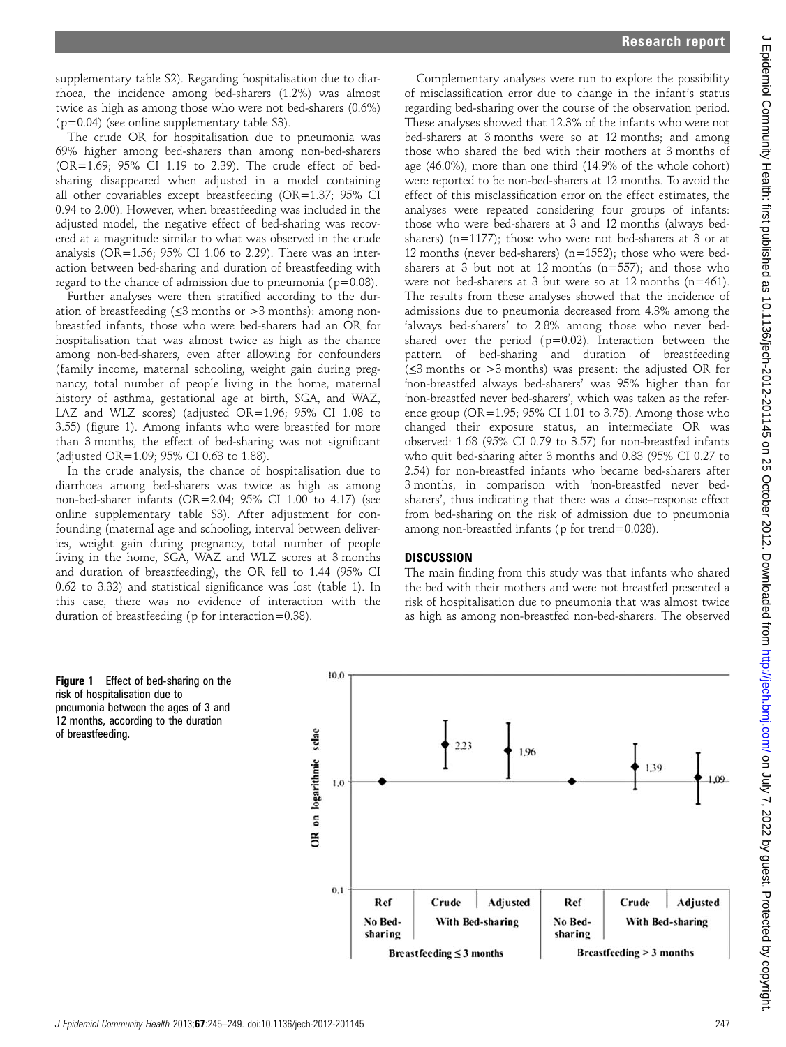supplementary table S2). Regarding hospitalisation due to diarrhoea, the incidence among bed-sharers (1.2%) was almost twice as high as among those who were not bed-sharers (0.6%) (p=0.04) (see online supplementary table S3).

The crude OR for hospitalisation due to pneumonia was 69% higher among bed-sharers than among non-bed-sharers (OR=1.69; 95% CI 1.19 to 2.39). The crude effect of bedsharing disappeared when adjusted in a model containing all other covariables except breastfeeding (OR=1.37; 95% CI 0.94 to 2.00). However, when breastfeeding was included in the adjusted model, the negative effect of bed-sharing was recovered at a magnitude similar to what was observed in the crude analysis ( $OR=1.56$ ;  $95\%$  CI 1.06 to 2.29). There was an interaction between bed-sharing and duration of breastfeeding with regard to the chance of admission due to pneumonia ( $p=0.08$ ).

Further analyses were then stratified according to the duration of breastfeeding ( $\leq$ 3 months or >3 months): among nonbreastfed infants, those who were bed-sharers had an OR for hospitalisation that was almost twice as high as the chance among non-bed-sharers, even after allowing for confounders (family income, maternal schooling, weight gain during pregnancy, total number of people living in the home, maternal history of asthma, gestational age at birth, SGA, and WAZ, LAZ and WLZ scores) (adjusted OR=1.96; 95% CI 1.08 to 3.55) (figure 1). Among infants who were breastfed for more than 3 months, the effect of bed-sharing was not significant (adjusted OR=1.09; 95% CI 0.63 to 1.88).

In the crude analysis, the chance of hospitalisation due to diarrhoea among bed-sharers was twice as high as among non-bed-sharer infants (OR=2.04; 95% CI 1.00 to 4.17) (see online supplementary table S3). After adjustment for confounding (maternal age and schooling, interval between deliveries, weight gain during pregnancy, total number of people living in the home, SGA, WAZ and WLZ scores at 3 months and duration of breastfeeding), the OR fell to 1.44 (95% CI 0.62 to 3.32) and statistical significance was lost (table 1). In this case, there was no evidence of interaction with the duration of breastfeeding (p for interaction=0.38).

Complementary analyses were run to explore the possibility of misclassification error due to change in the infant's status regarding bed-sharing over the course of the observation period. These analyses showed that 12.3% of the infants who were not bed-sharers at 3 months were so at 12 months; and among those who shared the bed with their mothers at 3 months of age (46.0%), more than one third (14.9% of the whole cohort) were reported to be non-bed-sharers at 12 months. To avoid the effect of this misclassification error on the effect estimates, the analyses were repeated considering four groups of infants: those who were bed-sharers at 3 and 12 months (always bedsharers) ( $n=1177$ ); those who were not bed-sharers at 3 or at 12 months (never bed-sharers) (n=1552); those who were bedsharers at 3 but not at 12 months  $(n=557)$ ; and those who were not bed-sharers at 3 but were so at 12 months (n=461). The results from these analyses showed that the incidence of admissions due to pneumonia decreased from 4.3% among the 'always bed-sharers' to 2.8% among those who never bedshared over the period  $(p=0.02)$ . Interaction between the pattern of bed-sharing and duration of breastfeeding (≤3 months or >3 months) was present: the adjusted OR for 'non-breastfed always bed-sharers' was 95% higher than for 'non-breastfed never bed-sharers', which was taken as the reference group (OR=1.95; 95% CI 1.01 to 3.75). Among those who changed their exposure status, an intermediate OR was observed: 1.68 (95% CI 0.79 to 3.57) for non-breastfed infants who quit bed-sharing after 3 months and 0.83 (95% CI 0.27 to 2.54) for non-breastfed infants who became bed-sharers after 3 months, in comparison with 'non-breastfed never bedsharers', thus indicating that there was a dose–response effect from bed-sharing on the risk of admission due to pneumonia among non-breastfed infants (p for trend=0.028).

### **DISCUSSION**

The main finding from this study was that infants who shared the bed with their mothers and were not breastfed presented a risk of hospitalisation due to pneumonia that was almost twice as high as among non-breastfed non-bed-sharers. The observed

Figure 1 Effect of bed-sharing on the risk of hospitalisation due to pneumonia between the ages of 3 and 12 months, according to the duration of breastfeeding.

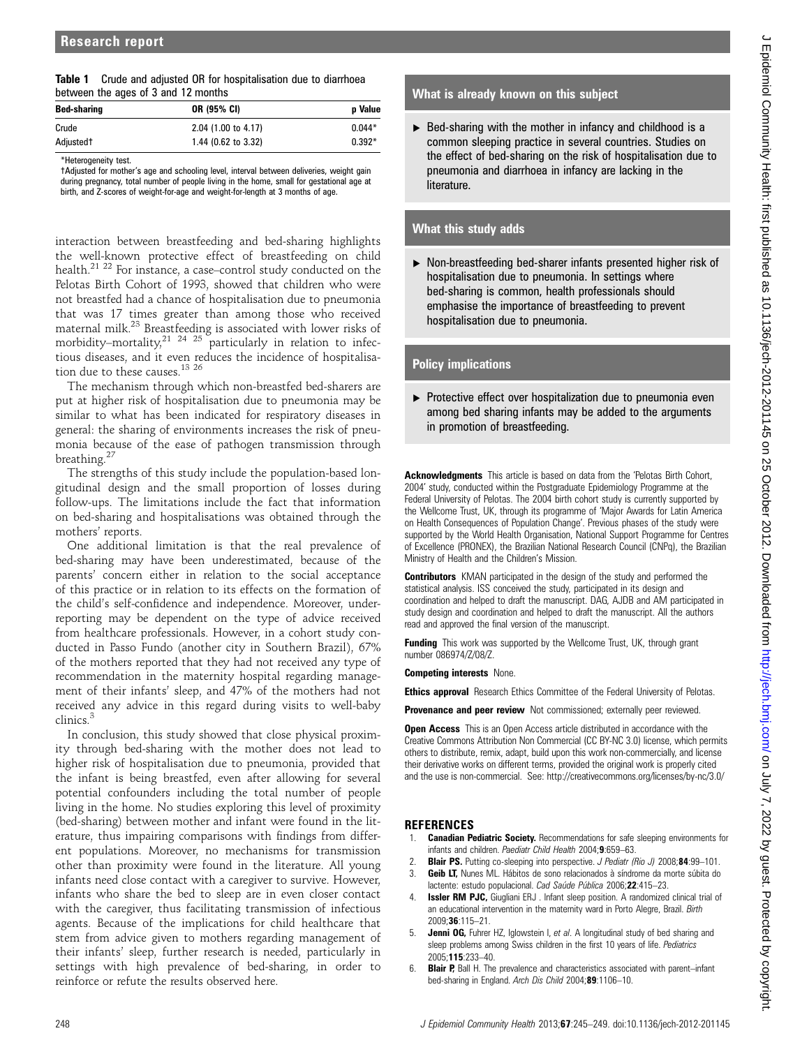| <b>Table 1</b> Crude and adjusted OR for hospitalisation due to diarrhoea |
|---------------------------------------------------------------------------|
| between the ages of 3 and 12 months                                       |

| <b>Bed-sharing</b> | OR (95% CI)         | <b>p</b> Value |
|--------------------|---------------------|----------------|
| Crude              | 2.04 (1.00 to 4.17) | $0.044*$       |
| Adjusted†          | 1.44 (0.62 to 3.32) | $0.392*$       |

\*Heterogeneity test.

†Adjusted for mother's age and schooling level, interval between deliveries, weight gain during pregnancy, total number of people living in the home, small for gestational age at birth, and Z-scores of weight-for-age and weight-for-length at 3 months of age.

interaction between breastfeeding and bed-sharing highlights the well-known protective effect of breastfeeding on child health.21 22 For instance, a case–control study conducted on the Pelotas Birth Cohort of 1993, showed that children who were not breastfed had a chance of hospitalisation due to pneumonia that was 17 times greater than among those who received maternal milk.23 Breastfeeding is associated with lower risks of maternal lillik. Disastituding is associated with  $\frac{21.24 \times 25}{2}$  particularly in relation to infectious diseases, and it even reduces the incidence of hospitalisation due to these causes.<sup>13 26</sup>

The mechanism through which non-breastfed bed-sharers are put at higher risk of hospitalisation due to pneumonia may be similar to what has been indicated for respiratory diseases in general: the sharing of environments increases the risk of pneumonia because of the ease of pathogen transmission through breathing.<sup>27</sup>

The strengths of this study include the population-based longitudinal design and the small proportion of losses during follow-ups. The limitations include the fact that information on bed-sharing and hospitalisations was obtained through the mothers' reports.

One additional limitation is that the real prevalence of bed-sharing may have been underestimated, because of the parents' concern either in relation to the social acceptance of this practice or in relation to its effects on the formation of the child's self-confidence and independence. Moreover, underreporting may be dependent on the type of advice received from healthcare professionals. However, in a cohort study conducted in Passo Fundo (another city in Southern Brazil), 67% of the mothers reported that they had not received any type of recommendation in the maternity hospital regarding management of their infants' sleep, and 47% of the mothers had not received any advice in this regard during visits to well-baby clinics.<sup>3</sup>

In conclusion, this study showed that close physical proximity through bed-sharing with the mother does not lead to higher risk of hospitalisation due to pneumonia, provided that the infant is being breastfed, even after allowing for several potential confounders including the total number of people living in the home. No studies exploring this level of proximity (bed-sharing) between mother and infant were found in the literature, thus impairing comparisons with findings from different populations. Moreover, no mechanisms for transmission other than proximity were found in the literature. All young infants need close contact with a caregiver to survive. However, infants who share the bed to sleep are in even closer contact with the caregiver, thus facilitating transmission of infectious agents. Because of the implications for child healthcare that stem from advice given to mothers regarding management of their infants' sleep, further research is needed, particularly in settings with high prevalence of bed-sharing, in order to reinforce or refute the results observed here.

## What is already known on this subject

▶ Bed-sharing with the mother in infancy and childhood is a common sleeping practice in several countries. Studies on the effect of bed-sharing on the risk of hospitalisation due to pneumonia and diarrhoea in infancy are lacking in the literature.

## What this study adds

▸ Non-breastfeeding bed-sharer infants presented higher risk of hospitalisation due to pneumonia. In settings where bed-sharing is common, health professionals should emphasise the importance of breastfeeding to prevent hospitalisation due to pneumonia.

## Policy implications

▶ Protective effect over hospitalization due to pneumonia even among bed sharing infants may be added to the arguments in promotion of breastfeeding.

Acknowledgments This article is based on data from the 'Pelotas Birth Cohort, 2004' study, conducted within the Postgraduate Epidemiology Programme at the Federal University of Pelotas. The 2004 birth cohort study is currently supported by the Wellcome Trust, UK, through its programme of 'Major Awards for Latin America on Health Consequences of Population Change'. Previous phases of the study were supported by the World Health Organisation, National Support Programme for Centres of Excellence (PRONEX), the Brazilian National Research Council (CNPq), the Brazilian Ministry of Health and the Children's Mission.

**Contributors** KMAN participated in the design of the study and performed the statistical analysis. ISS conceived the study, participated in its design and coordination and helped to draft the manuscript. DAG, AJDB and AM participated in study design and coordination and helped to draft the manuscript. All the authors read and approved the final version of the manuscript.

**Funding** This work was supported by the Wellcome Trust, UK, through grant number 086974/Z/08/Z.

#### Competing interests None.

**Ethics approval** Research Ethics Committee of the Federal University of Pelotas.

Provenance and peer review Not commissioned; externally peer reviewed.

**Open Access** This is an Open Access article distributed in accordance with the Creative Commons Attribution Non Commercial (CC BY-NC 3.0) license, which permits others to distribute, remix, adapt, build upon this work non-commercially, and license their derivative works on different terms, provided the original work is properly cited and the use is non-commercial. See: http://creativecommons.org/licenses/by-nc/3.0/

### **REFERENCES**

- 1. **Canadian Pediatric Society.** Recommendations for safe sleeping environments for infants and children. Paediatr Child Health 2004;9:659–63.
- 2. Blair PS. Putting co-sleeping into perspective. J Pediatr (Rio J) 2008;84:99-101. 3. Geib LT, Nunes ML. Hábitos de sono relacionados à síndrome da morte súbita do lactente: estudo populacional. Cad Saúde Pública 2006;22:415-23.
- **Issler RM PJC, Giugliani ERJ** . Infant sleep position. A randomized clinical trial of an educational intervention in the maternity ward in Porto Alegre, Brazil. Birth 2009;36:115–21.
- **Jenni OG,** Fuhrer HZ, Iglowstein I, et al. A longitudinal study of bed sharing and sleep problems among Swiss children in the first 10 years of life. Pediatrics 2005;115:233–40.
- 6. Blair P, Ball H. The prevalence and characteristics associated with parent–infant bed-sharing in England. Arch Dis Child 2004;89:1106–10.